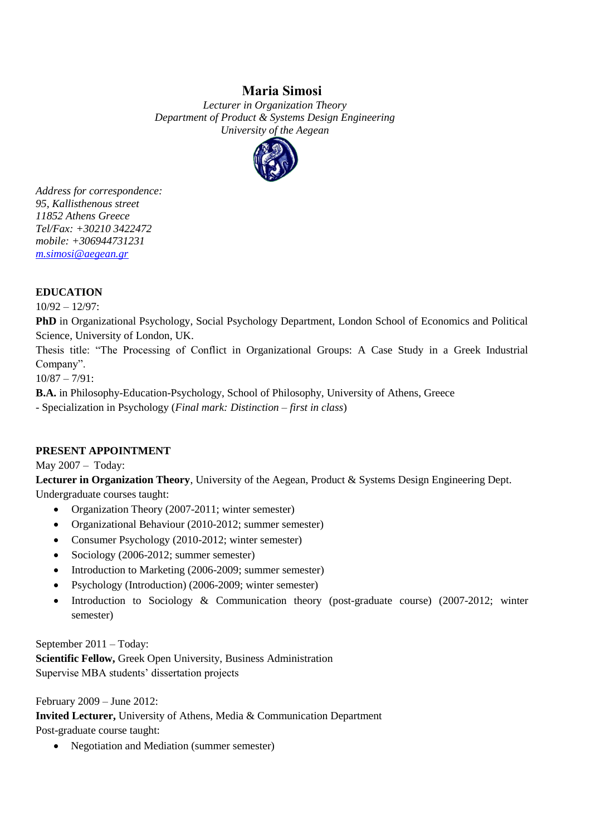# **Μaria Simosi**

*Lecturer in Organization Theory Department of Product & Systems Design Engineering University of the Aegean*



*Address for correspondence: 95, Kallisthenous street 11852 Athens Greece Tel/Fax: +30210 3422472 mobile: +306944731231 [m.simosi@aegean.gr](mailto:m.simosi@aegean.gr)*

## **EDUCATION**

10/92 – 12/97:

**PhD** in Organizational Psychology, Social Psychology Department, London School of Economics and Political Science, University of London, UK.

Thesis title: "The Processing of Conflict in Organizational Groups: A Case Study in a Greek Industrial Company".

10/87 – 7/91:

**B.A.** in Philosophy-Education-Psychology, School of Philosophy, University of Athens, Greece

- Specialization in Psychology (*Final mark: Distinction – first in class*)

## **PRESENT APPOINTMENT**

May 2007 – Today:

**Lecturer in Organization Theory**, University of the Aegean, Product & Systems Design Engineering Dept. Undergraduate courses taught:

- Organization Theory (2007-2011; winter semester)
- Organizational Behaviour (2010-2012; summer semester)
- Consumer Psychology (2010-2012; winter semester)
- Sociology (2006-2012; summer semester)
- Introduction to Marketing (2006-2009; summer semester)
- Psychology (Introduction) (2006-2009; winter semester)
- Introduction to Sociology & Communication theory (post-graduate course) (2007-2012; winter semester)

September 2011 – Today:

**Scientific Fellow,** Greek Open University, Business Administration Supervise MBA students' dissertation projects

February 2009 – June 2012: **Invited Lecturer,** University of Athens, Media & Communication Department Post-graduate course taught:

• Negotiation and Mediation (summer semester)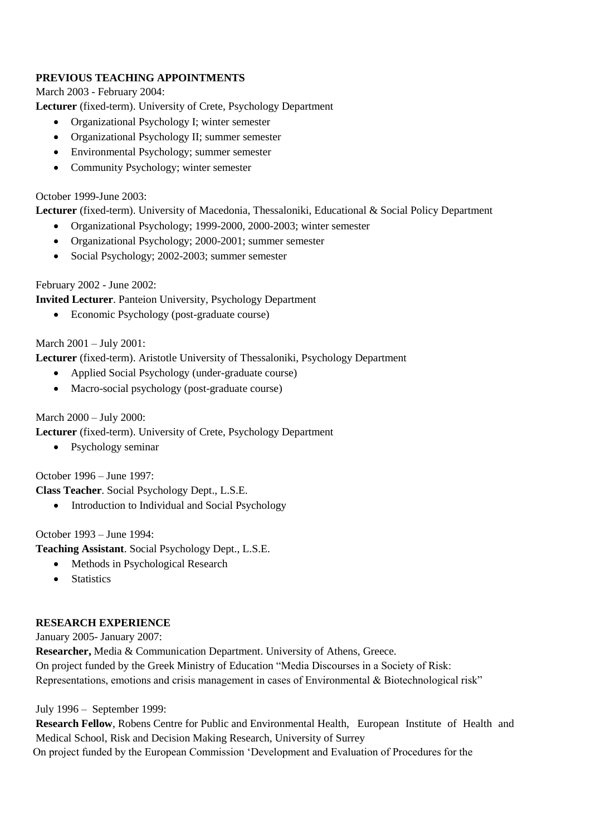## **PREVIOUS TEACHING APPOINTMENTS**

March 2003 - February 2004:

**Lecturer** (fixed-term). University of Crete, Psychology Department

- Organizational Psychology I; winter semester
- Organizational Psychology II; summer semester
- Environmental Psychology; summer semester
- Community Psychology; winter semester

### October 1999-June 2003:

**Lecturer** (fixed-term). University of Macedonia, Thessaloniki, Educational & Social Policy Department

- Organizational Psychology; 1999-2000, 2000-2003; winter semester
- Organizational Psychology; 2000-2001; summer semester
- Social Psychology; 2002-2003; summer semester

## February 2002 - June 2002:

**Invited Lecturer**. Panteion University, Psychology Department

• Economic Psychology (post-graduate course)

## March 2001 – July 2001:

**Lecturer** (fixed-term). Aristotle University of Thessaloniki, Psychology Department

- Applied Social Psychology (under-graduate course)
- Macro-social psychology (post-graduate course)

March 2000 – July 2000:

**Lecturer** (fixed-term). University of Crete, Psychology Department

• Psychology seminar

October 1996 – June 1997:

**Class Teacher**. Social Psychology Dept., L.S.E.

• Introduction to Individual and Social Psychology

October 1993 – June 1994:

**Teaching Assistant**. Social Psychology Dept., L.S.E.

- Methods in Psychological Research
- **Statistics**

## **RESEARCH EXPERIENCE**

January 2005- January 2007:

**Researcher,** Media & Communication Department. University of Athens, Greece. On project funded by the Greek Ministry of Education "Media Discourses in a Society of Risk: Representations, emotions and crisis management in cases of Environmental & Biotechnological risk"

July 1996 – September 1999:

**Research Fellow**, Robens Centre for Public and Environmental Health, European Institute of Health and Medical School, Risk and Decision Making Research, University of Surrey On project funded by the European Commission 'Development and Evaluation of Procedures for the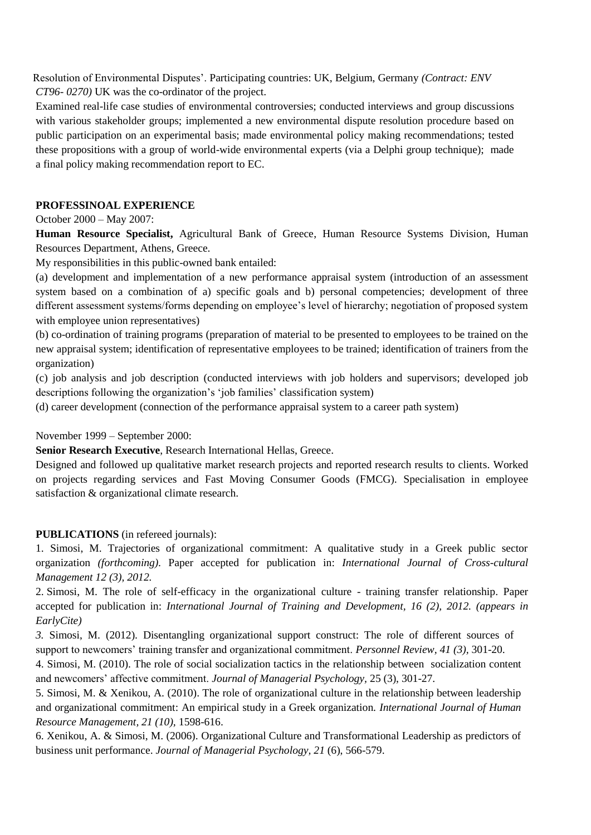Resolution of Environmental Disputes'. Participating countries: UK, Belgium, Germany *(Contract: ENV CT96- 0270)* UK was the co-ordinator of the project.

Examined real-life case studies of environmental controversies; conducted interviews and group discussions with various stakeholder groups; implemented a new environmental dispute resolution procedure based on public participation on an experimental basis; made environmental policy making recommendations; tested these propositions with a group of world-wide environmental experts (via a Delphi group technique); made a final policy making recommendation report to EC.

### **PROFESSINOAL EXPERIENCE**

#### October 2000 – May 2007:

**Human Resource Specialist,** Agricultural Bank of Greece, Human Resource Systems Division, Human Resources Department, Athens, Greece.

My responsibilities in this public-owned bank entailed:

(a) development and implementation of a new performance appraisal system (introduction of an assessment system based on a combination of a) specific goals and b) personal competencies; development of three different assessment systems/forms depending on employee's level of hierarchy; negotiation of proposed system with employee union representatives)

(b) co-ordination of training programs (preparation of material to be presented to employees to be trained on the new appraisal system; identification of representative employees to be trained; identification of trainers from the organization)

(c) job analysis and job description (conducted interviews with job holders and supervisors; developed job descriptions following the organization's 'job families' classification system)

(d) career development (connection of the performance appraisal system to a career path system)

November 1999 – September 2000:

**Senior Research Executive**, Research International Hellas, Greece.

Designed and followed up qualitative market research projects and reported research results to clients. Worked on projects regarding services and Fast Moving Consumer Goods (FMCG). Specialisation in employee satisfaction & organizational climate research.

#### **PUBLICATIONS** (in refereed journals):

1. Simosi, M. Trajectories of organizational commitment: A qualitative study in a Greek public sector organization *(forthcoming)*. Paper accepted for publication in: *International Journal of Cross-cultural Management 12 (3), 2012.*

2. Simosi, M. The role of self-efficacy in the organizational culture - training transfer relationship. Paper accepted for publication in: *International Journal of Training and Development, 16 (2), 2012. (appears in EarlyCite)*

*3.* Simosi, M. (2012). Disentangling organizational support construct: The role of different sources of support to newcomers' training transfer and organizational commitment. *Personnel Review, 41 (3),* 301-20.

4. Simosi, M. (2010). The role of social socialization tactics in the relationship between socialization content and newcomers' affective commitment. *Journal of Managerial Psychology,* 25 (3), 301-27.

5. Simosi, M. & Xenikou, A. (2010). The role of organizational culture in the relationship between leadership and organizational commitment: An empirical study in a Greek organization. *International Journal of Human Resource Management, 21 (10),* 1598-616.

6. Xenikou, A. & Simosi, M. (2006). Organizational Culture and Transformational Leadership as predictors of business unit performance. *Journal of Managerial Psychology, 21* (6), 566-579.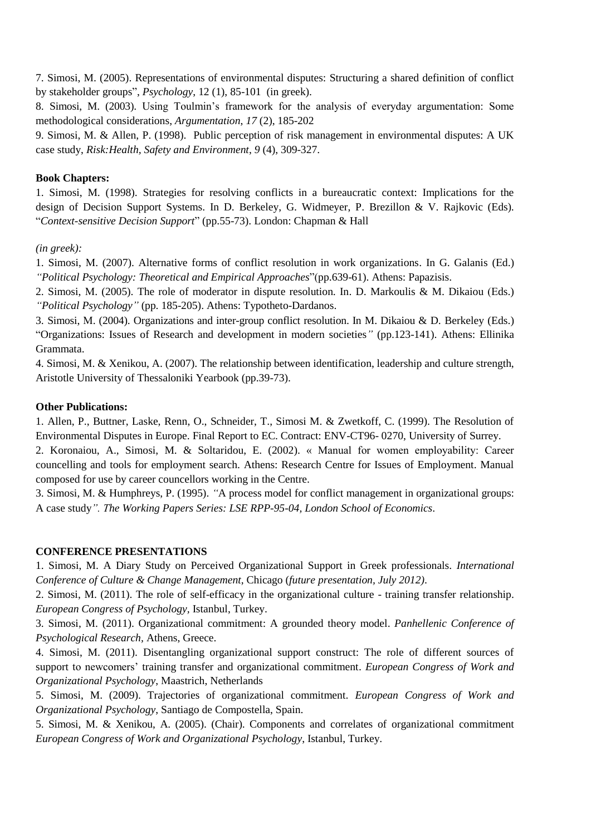7. Simosi, M. (2005). Representations of environmental disputes: Structuring a shared definition of conflict by stakeholder groups", *Psychology*, 12 (1), 85-101 (in greek).

8. Simosi, M. (2003). Using Toulmin's framework for the analysis of everyday argumentation: Some methodological considerations, *Argumentation*, *17* (2), 185-202

9. Simosi, M. & Allen, P. (1998). Public perception of risk management in environmental disputes: A UK case study, *Risk:Health, Safety and Environment*, *9* (4), 309-327.

#### **Book Chapters:**

1. Simosi, M. (1998). Strategies for resolving conflicts in a bureaucratic context: Implications for the design of Decision Support Systems. In D. Berkeley, G. Widmeyer, P. Brezillon & V. Rajkovic (Eds). "*Context-sensitive Decision Support*" (pp.55-73). London: Chapman & Hall

*(in greek):*

1. Simosi, Μ. (2007). Alternative forms of conflict resolution in work organizations. In G. Galanis (Εd.) *"Political Psychology: Theoretical and Empirical Approaches*"(pp.639-61). Athens: Papazisis.

2. Simosi, Μ. (2005). The role of moderator in dispute resolution. In. D. Markoulis & M. Dikaiou (Εds.) *"Political Psychology"* (pp. 185-205). Athens: Typotheto-Dardanos.

3. Simosi, Μ. (2004). Organizations and inter-group conflict resolution. In M. Dikaiou & D. Berkeley (Eds.) "Organizations: Issues of Research and development in modern societies*"* (pp.123-141). Athens: Ellinika Grammata.

4. Simosi, M. & Xenikou, A. (2007). The relationship between identification, leadership and culture strength, Aristotle University of Thessaloniki Yearbook (pp.39-73).

### **Other Publications:**

1. Allen, P., Buttner, Laske, Renn, O., Schneider, T., Simosi M. & Zwetkoff, C. (1999). The Resolution of Environmental Disputes in Europe. Final Report to EC. Contract: ENV-CT96- 0270, University of Surrey.

2. Koronaiou, A., Simosi, M. & Soltaridou, E. (2002). « Manual for women employability: Career councelling and tools for employment search. Athens: Research Centre for Issues of Employment. Manual composed for use by career councellors working in the Centre.

3. Simosi, M. & Humphreys, P. (1995). *"*A process model for conflict management in organizational groups: A case study*". Τhe Working Papers Series: LSE RPP-95-04, London School of Economics*.

#### **CONFERENCE PRESENTATIONS**

1. Simosi, M. A Diary Study on Perceived Organizational Support in Greek professionals. *International Conference of Culture & Change Management*, Chicago (*future presentation, July 2012)*.

2. Simosi, M. (2011). The role of self-efficacy in the organizational culture - training transfer relationship. *Εuropean Congress of Psychology,* Istanbul, Turkey.

3. Simosi, M. (2011). Organizational commitment: A grounded theory model. *Panhellenic Conference of Psychological Research,* Athens, Greece.

4. Simosi, M. (2011). Disentangling organizational support construct: The role of different sources of support to newcomers' training transfer and organizational commitment. *European Congress of Work and Organizational Psychology*, Μaastrich, Netherlands

5. Simosi, M. (2009). Trajectories of organizational commitment. *European Congress of Work and Organizational Psychology*, Santiago de Compostella, Spain.

5. Simosi, M. & Xenikou, A. (2005). (Chair). Components and correlates of organizational commitment *European Congress of Work and Organizational Psychology*, Istanbul, Turkey.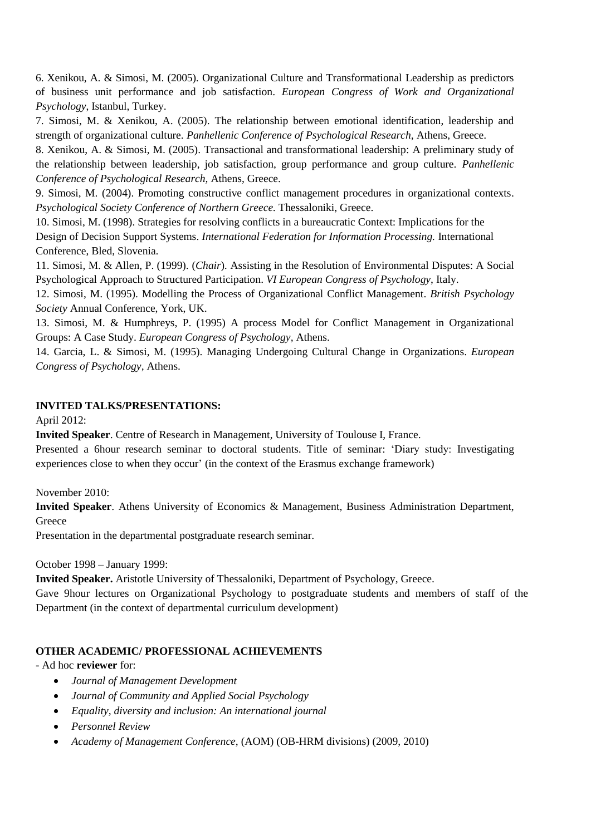6. Xenikou, A. & Simosi, M. (2005). Organizational Culture and Transformational Leadership as predictors of business unit performance and job satisfaction. *European Congress of Work and Organizational Psychology*, Istanbul, Turkey.

7. Simosi, M. & Xenikou, A. (2005). The relationship between emotional identification, leadership and strength of organizational culture. *Panhellenic Conference of Psychological Research,* Athens, Greece.

8. Xenikou, A. & Simosi, M. (2005). Transactional and transformational leadership: A preliminary study of the relationship between leadership, job satisfaction, group performance and group culture. *Panhellenic Conference of Psychological Research,* Athens, Greece.

9. Simosi, M. (2004). Promoting constructive conflict management procedures in organizational contexts. *Psychological Society Conference of Northern Greece.* Thessaloniki, Greece.

10. Simosi, M. (1998). Strategies for resolving conflicts in a bureaucratic Context: Implications for the Design of Decision Support Systems. *International Federation for Information Processing.* International Conference, Bled, Slovenia.

11. Simosi, M. & Allen, P. (1999). (*Chair*)*.* Assisting in the Resolution of Environmental Disputes: A Social Psychological Approach to Structured Participation. *VI European Congress of Psychology*, Italy.

12. Simosi, M. (1995). Modelling the Process of Organizational Conflict Management. *British Psychology Society* Annual Conference, York, UK.

13. Simosi, Μ. & Humphreys, P. (1995) A process Model for Conflict Management in Organizational Groups: A Case Study. *European Congress of Psychology,* Athens.

14. Garcia, L. & Simosi, M. (1995). Managing Undergoing Cultural Change in Organizations. *European Congress of Psychology,* Athens.

## **INVITED TALKS/PRESENTATIONS:**

April 2012:

**Invited Speaker**. Centre of Research in Management, University of Toulouse I, France.

Presented a 6hour research seminar to doctoral students. Title of seminar: 'Diary study: Investigating experiences close to when they occur' (in the context of the Erasmus exchange framework)

November 2010:

**Invited Speaker**. Athens University of Economics & Management, Business Administration Department, **Greece** 

Presentation in the departmental postgraduate research seminar.

October 1998 – January 1999:

**Invited Speaker.** Aristotle University of Thessaloniki, Department of Psychology, Greece.

Gave 9hour lectures on Organizational Psychology to postgraduate students and members of staff of the Department (in the context of departmental curriculum development)

#### **OTHER ACADEMIC/ PROFESSIONAL ACHIEVEMENTS**

- Ad hoc **reviewer** for:

- *Journal of Management Development*
- *Journal of Community and Applied Social Psychology*
- *Equality, diversity and inclusion: An international journal*
- *Personnel Review*
- *Academy of Management Conference*, (AOM) (OB-HRM divisions) (2009, 2010)